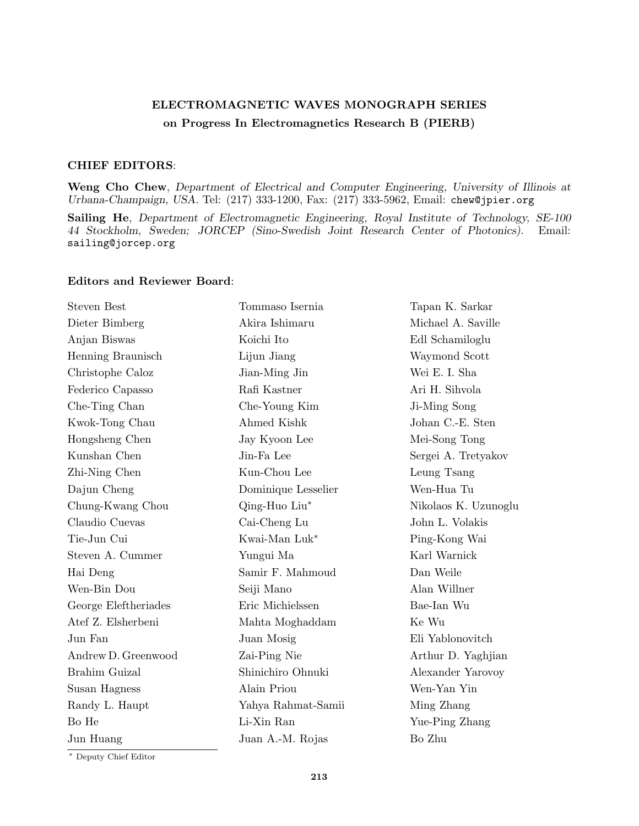## ELECTROMAGNETIC WAVES MONOGRAPH SERIES on Progress In Electromagnetics Research B (PIERB)

## CHIEF EDITORS:

Weng Cho Chew, Department of Electrical and Computer Engineering, University of Illinois at Urbana-Champaign, USA. Tel: (217) 333-1200, Fax: (217) 333-5962, Email: chew@jpier.org

Sailing He, Department of Electromagnetic Engineering, Royal Institute of Technology, SE-100 44 Stockholm, Sweden; JORCEP (Sino-Swedish Joint Research Center of Photonics). Email: sailing@jorcep.org

## Editors and Reviewer Board:

| <b>Steven Best</b>   | Tommaso Isernia     | Tapan K. Sarkar      |
|----------------------|---------------------|----------------------|
| Dieter Bimberg       | Akira Ishimaru      | Michael A. Saville   |
| Anjan Biswas         | Koichi Ito          | Edl Schamiloglu      |
| Henning Braunisch    | Lijun Jiang         | Waymond Scott        |
| Christophe Caloz     | Jian-Ming Jin       | Wei E. I. Sha        |
| Federico Capasso     | Rafi Kastner        | Ari H. Sihvola       |
| Che-Ting Chan        | Che-Young Kim       | Ji-Ming Song         |
| Kwok-Tong Chau       | Ahmed Kishk         | Johan C.-E. Sten     |
| Hongsheng Chen       | Jay Kyoon Lee       | Mei-Song Tong        |
| Kunshan Chen         | Jin-Fa Lee          | Sergei A. Tretyakov  |
| Zhi-Ning Chen        | Kun-Chou Lee        | Leung Tsang          |
| Dajun Cheng          | Dominique Lesselier | Wen-Hua Tu           |
| Chung-Kwang Chou     | Qing-Huo Liu*       | Nikolaos K. Uzunoglu |
| Claudio Cuevas       | Cai-Cheng Lu        | John L. Volakis      |
| Tie-Jun Cui          | Kwai-Man Luk*       | Ping-Kong Wai        |
| Steven A. Cummer     | Yungui Ma           | Karl Warnick         |
| Hai Deng             | Samir F. Mahmoud    | Dan Weile            |
| Wen-Bin Dou          | Seiji Mano          | Alan Willner         |
| George Eleftheriades | Eric Michielssen    | Bae-Ian Wu           |
| Atef Z. Elsherbeni   | Mahta Moghaddam     | Ke Wu                |
| Jun Fan              | Juan Mosig          | Eli Yablonovitch     |
| Andrew D. Greenwood  | Zai-Ping Nie        | Arthur D. Yaghjian   |
| Brahim Guizal        | Shinichiro Ohnuki   | Alexander Yarovoy    |
| Susan Hagness        | Alain Priou         | Wen-Yan Yin          |
| Randy L. Haupt       | Yahya Rahmat-Samii  | Ming Zhang           |
| Bo He                | Li-Xin Ran          | Yue-Ping Zhang       |
| Jun Huang            | Juan A.-M. Rojas    | Bo Zhu               |
|                      |                     |                      |

<sup>∗</sup> Deputy Chief Editor